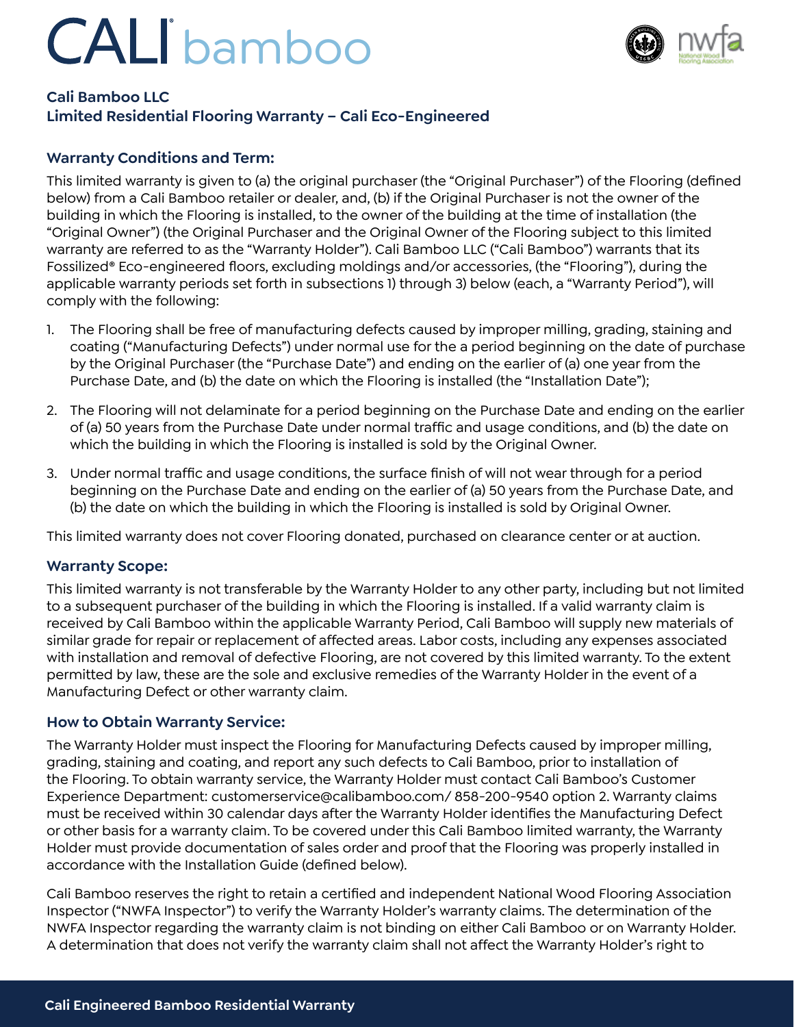## CALI bamboo



## **Cali Bamboo LLC**

### **Limited Residential Flooring Warranty – Cali Eco-Engineered**

#### **Warranty Conditions and Term:**

This limited warranty is given to (a) the original purchaser (the "Original Purchaser") of the Flooring (defined below) from a Cali Bamboo retailer or dealer, and, (b) if the Original Purchaser is not the owner of the building in which the Flooring is installed, to the owner of the building at the time of installation (the "Original Owner") (the Original Purchaser and the Original Owner of the Flooring subject to this limited warranty are referred to as the "Warranty Holder"). Cali Bamboo LLC ("Cali Bamboo") warrants that its Fossilized® Eco-engineered floors, excluding moldings and/or accessories, (the "Flooring"), during the applicable warranty periods set forth in subsections 1) through 3) below (each, a "Warranty Period"), will comply with the following:

- 1. The Flooring shall be free of manufacturing defects caused by improper milling, grading, staining and coating ("Manufacturing Defects") under normal use for the a period beginning on the date of purchase by the Original Purchaser (the "Purchase Date") and ending on the earlier of (a) one year from the Purchase Date, and (b) the date on which the Flooring is installed (the "Installation Date");
- 2. The Flooring will not delaminate for a period beginning on the Purchase Date and ending on the earlier of (a) 50 years from the Purchase Date under normal traffic and usage conditions, and (b) the date on which the building in which the Flooring is installed is sold by the Original Owner.
- 3. Under normal traffic and usage conditions, the surface finish of will not wear through for a period beginning on the Purchase Date and ending on the earlier of (a) 50 years from the Purchase Date, and (b) the date on which the building in which the Flooring is installed is sold by Original Owner.

This limited warranty does not cover Flooring donated, purchased on clearance center or at auction.

#### **Warranty Scope:**

This limited warranty is not transferable by the Warranty Holder to any other party, including but not limited to a subsequent purchaser of the building in which the Flooring is installed. If a valid warranty claim is received by Cali Bamboo within the applicable Warranty Period, Cali Bamboo will supply new materials of similar grade for repair or replacement of affected areas. Labor costs, including any expenses associated with installation and removal of defective Flooring, are not covered by this limited warranty. To the extent permitted by law, these are the sole and exclusive remedies of the Warranty Holder in the event of a Manufacturing Defect or other warranty claim.

#### **How to Obtain Warranty Service:**

The Warranty Holder must inspect the Flooring for Manufacturing Defects caused by improper milling, grading, staining and coating, and report any such defects to Cali Bamboo, prior to installation of the Flooring. To obtain warranty service, the Warranty Holder must contact Cali Bamboo's Customer Experience Department: customerservice@calibamboo.com/ 858-200-9540 option 2. Warranty claims must be received within 30 calendar days after the Warranty Holder identifies the Manufacturing Defect or other basis for a warranty claim. To be covered under this Cali Bamboo limited warranty, the Warranty Holder must provide documentation of sales order and proof that the Flooring was properly installed in accordance with the Installation Guide (defined below).

Cali Bamboo reserves the right to retain a certified and independent National Wood Flooring Association Inspector ("NWFA Inspector") to verify the Warranty Holder's warranty claims. The determination of the NWFA Inspector regarding the warranty claim is not binding on either Cali Bamboo or on Warranty Holder. A determination that does not verify the warranty claim shall not affect the Warranty Holder's right to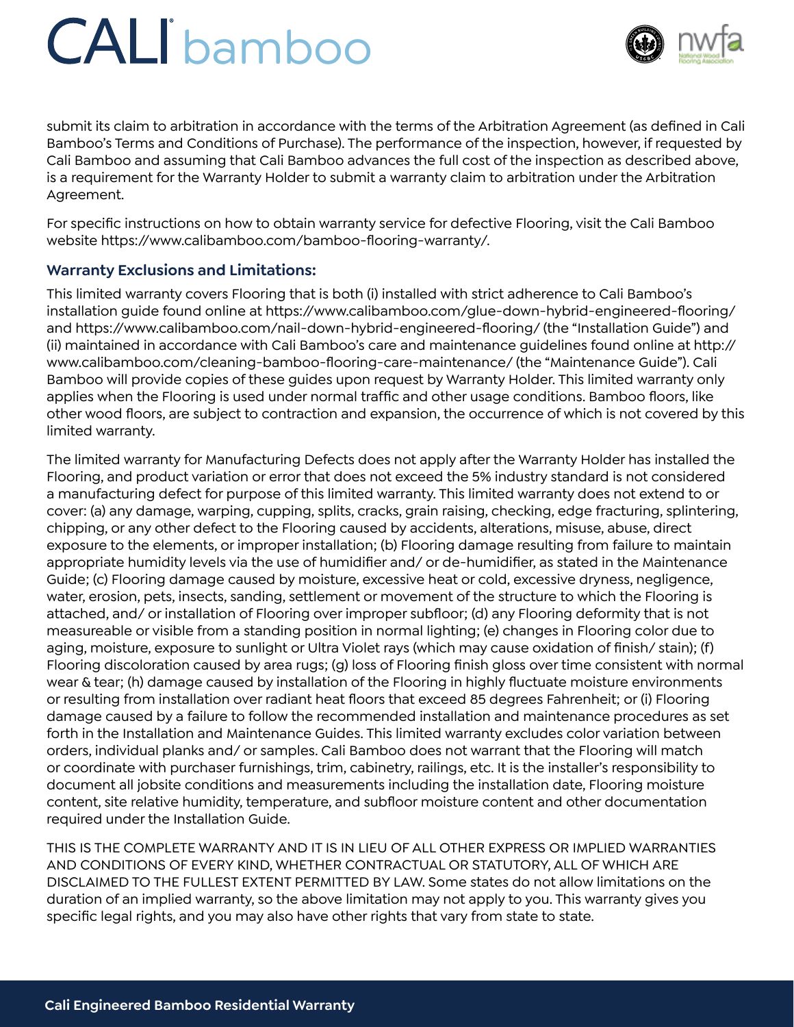# CALI bamboo



submit its claim to arbitration in accordance with the terms of the Arbitration Agreement (as defined in Cali Bamboo's Terms and Conditions of Purchase). The performance of the inspection, however, if requested by Cali Bamboo and assuming that Cali Bamboo advances the full cost of the inspection as described above, is a requirement for the Warranty Holder to submit a warranty claim to arbitration under the Arbitration Agreement.

For specific instructions on how to obtain warranty service for defective Flooring, visit the Cali Bamboo website https://www.calibamboo.com/bamboo-flooring-warranty/.

### **Warranty Exclusions and Limitations:**

This limited warranty covers Flooring that is both (i) installed with strict adherence to Cali Bamboo's installation guide found online at https://www.calibamboo.com/glue-down-hybrid-engineered-flooring/ and https://www.calibamboo.com/nail-down-hybrid-engineered-flooring/ (the "Installation Guide") and (ii) maintained in accordance with Cali Bamboo's care and maintenance guidelines found online at http:// www.calibamboo.com/cleaning-bamboo-flooring-care-maintenance/ (the "Maintenance Guide"). Cali Bamboo will provide copies of these guides upon request by Warranty Holder. This limited warranty only applies when the Flooring is used under normal traffic and other usage conditions. Bamboo floors, like other wood floors, are subject to contraction and expansion, the occurrence of which is not covered by this limited warranty.

The limited warranty for Manufacturing Defects does not apply after the Warranty Holder has installed the Flooring, and product variation or error that does not exceed the 5% industry standard is not considered a manufacturing defect for purpose of this limited warranty. This limited warranty does not extend to or cover: (a) any damage, warping, cupping, splits, cracks, grain raising, checking, edge fracturing, splintering, chipping, or any other defect to the Flooring caused by accidents, alterations, misuse, abuse, direct exposure to the elements, or improper installation; (b) Flooring damage resulting from failure to maintain appropriate humidity levels via the use of humidifier and/ or de-humidifier, as stated in the Maintenance Guide; (c) Flooring damage caused by moisture, excessive heat or cold, excessive dryness, negligence, water, erosion, pets, insects, sanding, settlement or movement of the structure to which the Flooring is attached, and/ or installation of Flooring over improper subfloor; (d) any Flooring deformity that is not measureable or visible from a standing position in normal lighting; (e) changes in Flooring color due to aging, moisture, exposure to sunlight or Ultra Violet rays (which may cause oxidation of finish/ stain); (f) Flooring discoloration caused by area rugs; (g) loss of Flooring finish gloss over time consistent with normal wear & tear; (h) damage caused by installation of the Flooring in highly fluctuate moisture environments or resulting from installation over radiant heat floors that exceed 85 degrees Fahrenheit; or (i) Flooring damage caused by a failure to follow the recommended installation and maintenance procedures as set forth in the Installation and Maintenance Guides. This limited warranty excludes color variation between orders, individual planks and/ or samples. Cali Bamboo does not warrant that the Flooring will match or coordinate with purchaser furnishings, trim, cabinetry, railings, etc. It is the installer's responsibility to document all jobsite conditions and measurements including the installation date, Flooring moisture content, site relative humidity, temperature, and subfloor moisture content and other documentation required under the Installation Guide.

THIS IS THE COMPLETE WARRANTY AND IT IS IN LIEU OF ALL OTHER EXPRESS OR IMPLIED WARRANTIES AND CONDITIONS OF EVERY KIND, WHETHER CONTRACTUAL OR STATUTORY, ALL OF WHICH ARE DISCLAIMED TO THE FULLEST EXTENT PERMITTED BY LAW. Some states do not allow limitations on the duration of an implied warranty, so the above limitation may not apply to you. This warranty gives you specific legal rights, and you may also have other rights that vary from state to state.